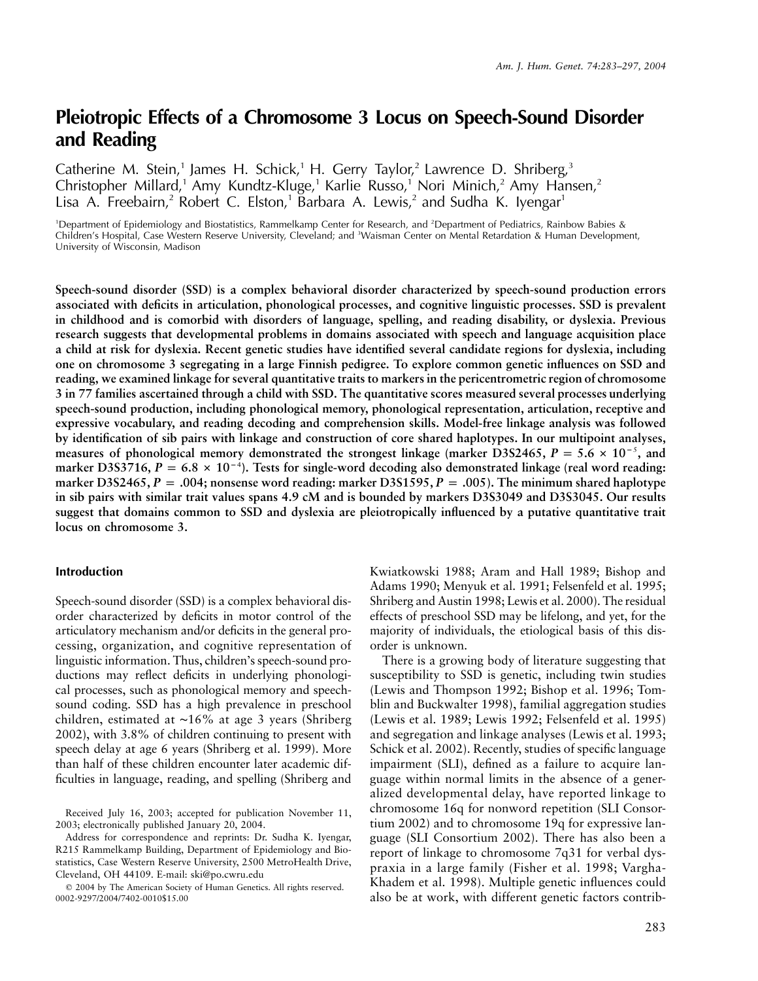# **Pleiotropic Effects of a Chromosome 3 Locus on Speech-Sound Disorder and Reading**

Catherine M. Stein,<sup>1</sup> James H. Schick,<sup>1</sup> H. Gerry Taylor,<sup>2</sup> Lawrence D. Shriberg,<sup>3</sup> Christopher Millard,<sup>1</sup> Amy Kundtz-Kluge,<sup>1</sup> Karlie Russo,<sup>1</sup> Nori Minich,<sup>2</sup> Amy Hansen,<sup>2</sup> Lisa A. Freebairn,<sup>2</sup> Robert C. Elston,<sup>1</sup> Barbara A. Lewis,<sup>2</sup> and Sudha K. Ivengar<sup>1</sup>

1 Department of Epidemiology and Biostatistics, Rammelkamp Center for Research, and <sup>2</sup> Department of Pediatrics, Rainbow Babies & Children's Hospital, Case Western Reserve University, Cleveland; and <sup>3</sup> Waisman Center on Mental Retardation & Human Development, University of Wisconsin, Madison

**Speech-sound disorder (SSD) is a complex behavioral disorder characterized by speech-sound production errors associated with deficits in articulation, phonological processes, and cognitive linguistic processes. SSD is prevalent in childhood and is comorbid with disorders of language, spelling, and reading disability, or dyslexia. Previous research suggests that developmental problems in domains associated with speech and language acquisition place a child at risk for dyslexia. Recent genetic studies have identified several candidate regions for dyslexia, including one on chromosome 3 segregating in a large Finnish pedigree. To explore common genetic influences on SSD and reading, we examined linkage for several quantitative traits to markers in the pericentrometric region of chromosome 3 in 77 families ascertained through a child with SSD. The quantitative scores measured several processes underlying speech-sound production, including phonological memory, phonological representation, articulation, receptive and expressive vocabulary, and reading decoding and comprehension skills. Model-free linkage analysis was followed by identification of sib pairs with linkage and construction of core shared haplotypes. In our multipoint analyses,** measures of phonological memory demonstrated the strongest linkage (marker D3S2465,  $P = 5.6 \times 10^{-5}$ , and marker D3S3716,  $P = 6.8 \times 10^{-4}$ ). Tests for single-word decoding also demonstrated linkage (real word reading: marker D3S2465,  $P = .004$ ; nonsense word reading: marker D3S1595,  $P = .005$ ). The minimum shared haplotype **in sib pairs with similar trait values spans 4.9 cM and is bounded by markers D3S3049 and D3S3045. Our results suggest that domains common to SSD and dyslexia are pleiotropically influenced by a putative quantitative trait locus on chromosome 3.**

# **Introduction**

Speech-sound disorder (SSD) is a complex behavioral disorder characterized by deficits in motor control of the articulatory mechanism and/or deficits in the general processing, organization, and cognitive representation of linguistic information. Thus, children's speech-sound productions may reflect deficits in underlying phonological processes, such as phonological memory and speechsound coding. SSD has a high prevalence in preschool children, estimated at ∼16% at age 3 years (Shriberg 2002), with 3.8% of children continuing to present with speech delay at age 6 years (Shriberg et al. 1999). More than half of these children encounter later academic difficulties in language, reading, and spelling (Shriberg and

Kwiatkowski 1988; Aram and Hall 1989; Bishop and Adams 1990; Menyuk et al. 1991; Felsenfeld et al. 1995; Shriberg and Austin 1998; Lewis et al. 2000). The residual effects of preschool SSD may be lifelong, and yet, for the majority of individuals, the etiological basis of this disorder is unknown.

There is a growing body of literature suggesting that susceptibility to SSD is genetic, including twin studies (Lewis and Thompson 1992; Bishop et al. 1996; Tomblin and Buckwalter 1998), familial aggregation studies (Lewis et al. 1989; Lewis 1992; Felsenfeld et al. 1995) and segregation and linkage analyses (Lewis et al. 1993; Schick et al. 2002). Recently, studies of specific language impairment (SLI), defined as a failure to acquire language within normal limits in the absence of a generalized developmental delay, have reported linkage to chromosome 16q for nonword repetition (SLI Consortium 2002) and to chromosome 19q for expressive language (SLI Consortium 2002). There has also been a report of linkage to chromosome 7q31 for verbal dyspraxia in a large family (Fisher et al. 1998; Vargha-Khadem et al. 1998). Multiple genetic influences could also be at work, with different genetic factors contrib-

Received July 16, 2003; accepted for publication November 11, 2003; electronically published January 20, 2004.

Address for correspondence and reprints: Dr. Sudha K. Iyengar, R215 Rammelkamp Building, Department of Epidemiology and Biostatistics, Case Western Reserve University, 2500 MetroHealth Drive, Cleveland, OH 44109. E-mail: ski@po.cwru.edu

2004 by The American Society of Human Genetics. All rights reserved. 0002-9297/2004/7402-0010\$15.00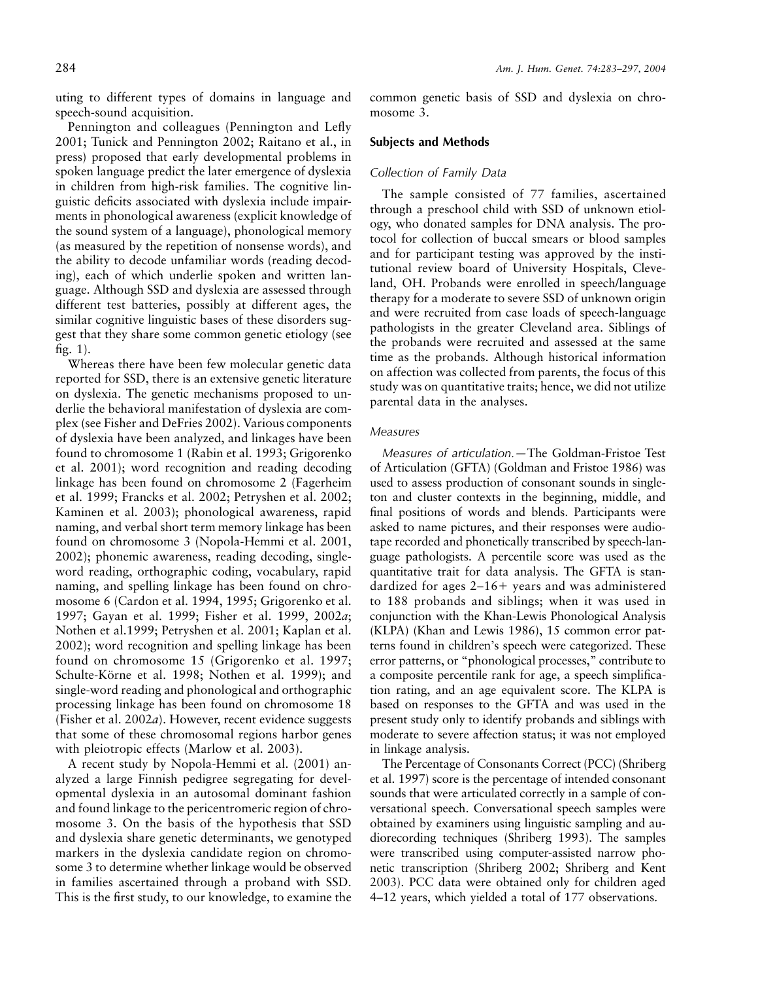uting to different types of domains in language and speech-sound acquisition.

Pennington and colleagues (Pennington and Lefly 2001; Tunick and Pennington 2002; Raitano et al., in press) proposed that early developmental problems in spoken language predict the later emergence of dyslexia in children from high-risk families. The cognitive linguistic deficits associated with dyslexia include impairments in phonological awareness (explicit knowledge of the sound system of a language), phonological memory (as measured by the repetition of nonsense words), and the ability to decode unfamiliar words (reading decoding), each of which underlie spoken and written language. Although SSD and dyslexia are assessed through different test batteries, possibly at different ages, the similar cognitive linguistic bases of these disorders suggest that they share some common genetic etiology (see fig. 1).

Whereas there have been few molecular genetic data reported for SSD, there is an extensive genetic literature on dyslexia. The genetic mechanisms proposed to underlie the behavioral manifestation of dyslexia are complex (see Fisher and DeFries 2002). Various components of dyslexia have been analyzed, and linkages have been found to chromosome 1 (Rabin et al. 1993; Grigorenko et al. 2001); word recognition and reading decoding linkage has been found on chromosome 2 (Fagerheim et al. 1999; Francks et al. 2002; Petryshen et al. 2002; Kaminen et al. 2003); phonological awareness, rapid naming, and verbal short term memory linkage has been found on chromosome 3 (Nopola-Hemmi et al. 2001, 2002); phonemic awareness, reading decoding, singleword reading, orthographic coding, vocabulary, rapid naming, and spelling linkage has been found on chromosome 6 (Cardon et al. 1994, 1995; Grigorenko et al. 1997; Gayan et al. 1999; Fisher et al. 1999, 2002*a*; Nothen et al.1999; Petryshen et al. 2001; Kaplan et al. 2002); word recognition and spelling linkage has been found on chromosome 15 (Grigorenko et al. 1997; Schulte-Körne et al. 1998; Nothen et al. 1999); and single-word reading and phonological and orthographic processing linkage has been found on chromosome 18 (Fisher et al. 2002*a*). However, recent evidence suggests that some of these chromosomal regions harbor genes with pleiotropic effects (Marlow et al. 2003).

A recent study by Nopola-Hemmi et al. (2001) analyzed a large Finnish pedigree segregating for developmental dyslexia in an autosomal dominant fashion and found linkage to the pericentromeric region of chromosome 3. On the basis of the hypothesis that SSD and dyslexia share genetic determinants, we genotyped markers in the dyslexia candidate region on chromosome 3 to determine whether linkage would be observed in families ascertained through a proband with SSD. This is the first study, to our knowledge, to examine the

common genetic basis of SSD and dyslexia on chromosome 3.

# **Subjects and Methods**

## *Collection of Family Data*

The sample consisted of 77 families, ascertained through a preschool child with SSD of unknown etiology, who donated samples for DNA analysis. The protocol for collection of buccal smears or blood samples and for participant testing was approved by the institutional review board of University Hospitals, Cleveland, OH. Probands were enrolled in speech/language therapy for a moderate to severe SSD of unknown origin and were recruited from case loads of speech-language pathologists in the greater Cleveland area. Siblings of the probands were recruited and assessed at the same time as the probands. Although historical information on affection was collected from parents, the focus of this study was on quantitative traits; hence, we did not utilize parental data in the analyses.

# *Measures*

*Measures of articulation.—*The Goldman-Fristoe Test of Articulation (GFTA) (Goldman and Fristoe 1986) was used to assess production of consonant sounds in singleton and cluster contexts in the beginning, middle, and final positions of words and blends. Participants were asked to name pictures, and their responses were audiotape recorded and phonetically transcribed by speech-language pathologists. A percentile score was used as the quantitative trait for data analysis. The GFTA is standardized for ages  $2-16+$  years and was administered to 188 probands and siblings; when it was used in conjunction with the Khan-Lewis Phonological Analysis (KLPA) (Khan and Lewis 1986), 15 common error patterns found in children's speech were categorized. These error patterns, or "phonological processes," contribute to a composite percentile rank for age, a speech simplification rating, and an age equivalent score. The KLPA is based on responses to the GFTA and was used in the present study only to identify probands and siblings with moderate to severe affection status; it was not employed in linkage analysis.

The Percentage of Consonants Correct (PCC) (Shriberg et al. 1997) score is the percentage of intended consonant sounds that were articulated correctly in a sample of conversational speech. Conversational speech samples were obtained by examiners using linguistic sampling and audiorecording techniques (Shriberg 1993). The samples were transcribed using computer-assisted narrow phonetic transcription (Shriberg 2002; Shriberg and Kent 2003). PCC data were obtained only for children aged 4–12 years, which yielded a total of 177 observations.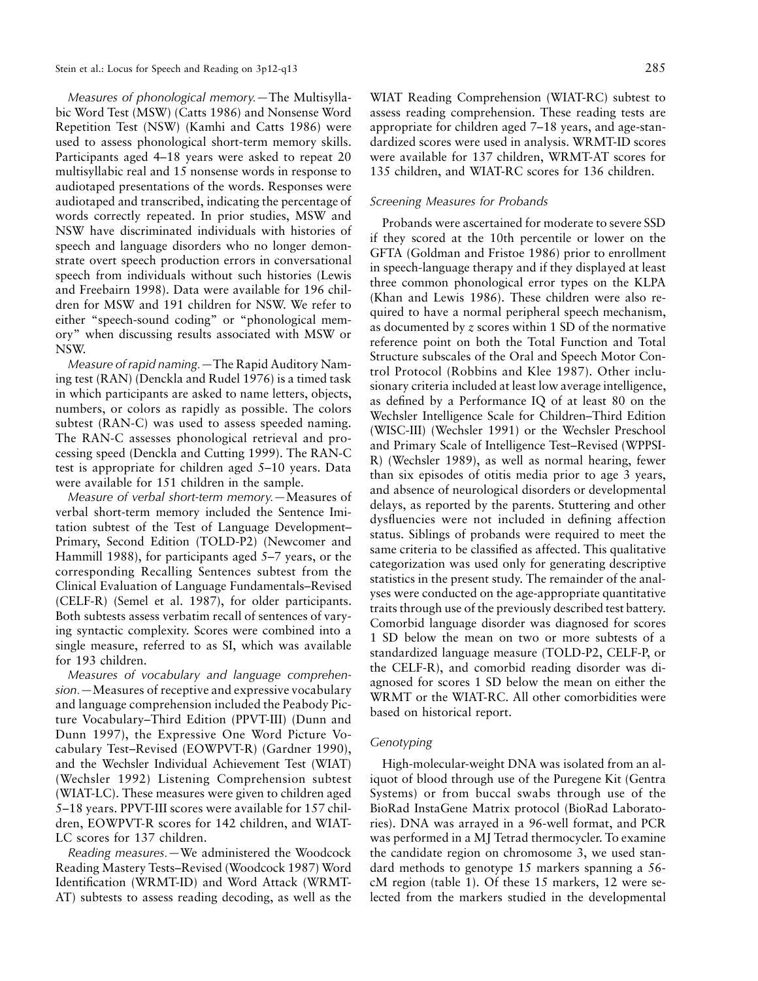*Measures of phonological memory.—*The Multisyllabic Word Test (MSW) (Catts 1986) and Nonsense Word Repetition Test (NSW) (Kamhi and Catts 1986) were used to assess phonological short-term memory skills. Participants aged 4–18 years were asked to repeat 20 multisyllabic real and 15 nonsense words in response to audiotaped presentations of the words. Responses were audiotaped and transcribed, indicating the percentage of words correctly repeated. In prior studies, MSW and NSW have discriminated individuals with histories of speech and language disorders who no longer demonstrate overt speech production errors in conversational speech from individuals without such histories (Lewis and Freebairn 1998). Data were available for 196 children for MSW and 191 children for NSW. We refer to either "speech-sound coding" or "phonological memory" when discussing results associated with MSW or NSW.

*Measure of rapid naming.—*The Rapid Auditory Naming test (RAN) (Denckla and Rudel 1976) is a timed task in which participants are asked to name letters, objects, numbers, or colors as rapidly as possible. The colors subtest (RAN-C) was used to assess speeded naming. The RAN-C assesses phonological retrieval and processing speed (Denckla and Cutting 1999). The RAN-C test is appropriate for children aged 5–10 years. Data were available for 151 children in the sample.

*Measure of verbal short-term memory.—*Measures of verbal short-term memory included the Sentence Imitation subtest of the Test of Language Development– Primary, Second Edition (TOLD-P2) (Newcomer and Hammill 1988), for participants aged 5–7 years, or the corresponding Recalling Sentences subtest from the Clinical Evaluation of Language Fundamentals–Revised (CELF-R) (Semel et al. 1987), for older participants. Both subtests assess verbatim recall of sentences of varying syntactic complexity. Scores were combined into a single measure, referred to as SI, which was available for 193 children.

*Measures of vocabulary and language comprehension.—*Measures of receptive and expressive vocabulary and language comprehension included the Peabody Picture Vocabulary–Third Edition (PPVT-III) (Dunn and Dunn 1997), the Expressive One Word Picture Vocabulary Test–Revised (EOWPVT-R) (Gardner 1990), and the Wechsler Individual Achievement Test (WIAT) (Wechsler 1992) Listening Comprehension subtest (WIAT-LC). These measures were given to children aged 5–18 years. PPVT-III scores were available for 157 children, EOWPVT-R scores for 142 children, and WIAT-LC scores for 137 children.

*Reading measures.—*We administered the Woodcock Reading Mastery Tests–Revised (Woodcock 1987) Word Identification (WRMT-ID) and Word Attack (WRMT-AT) subtests to assess reading decoding, as well as the

WIAT Reading Comprehension (WIAT-RC) subtest to assess reading comprehension. These reading tests are appropriate for children aged 7–18 years, and age-standardized scores were used in analysis. WRMT-ID scores were available for 137 children, WRMT-AT scores for 135 children, and WIAT-RC scores for 136 children.

# *Screening Measures for Probands*

Probands were ascertained for moderate to severe SSD if they scored at the 10th percentile or lower on the GFTA (Goldman and Fristoe 1986) prior to enrollment in speech-language therapy and if they displayed at least three common phonological error types on the KLPA (Khan and Lewis 1986). These children were also required to have a normal peripheral speech mechanism, as documented by *z* scores within 1 SD of the normative reference point on both the Total Function and Total Structure subscales of the Oral and Speech Motor Control Protocol (Robbins and Klee 1987). Other inclusionary criteria included at least low average intelligence, as defined by a Performance IQ of at least 80 on the Wechsler Intelligence Scale for Children–Third Edition (WISC-III) (Wechsler 1991) or the Wechsler Preschool and Primary Scale of Intelligence Test–Revised (WPPSI-R) (Wechsler 1989), as well as normal hearing, fewer than six episodes of otitis media prior to age 3 years, and absence of neurological disorders or developmental delays, as reported by the parents. Stuttering and other dysfluencies were not included in defining affection status. Siblings of probands were required to meet the same criteria to be classified as affected. This qualitative categorization was used only for generating descriptive statistics in the present study. The remainder of the analyses were conducted on the age-appropriate quantitative traits through use of the previously described test battery. Comorbid language disorder was diagnosed for scores 1 SD below the mean on two or more subtests of a standardized language measure (TOLD-P2, CELF-P, or the CELF-R), and comorbid reading disorder was diagnosed for scores 1 SD below the mean on either the WRMT or the WIAT-RC. All other comorbidities were based on historical report.

# *Genotyping*

High-molecular-weight DNA was isolated from an aliquot of blood through use of the Puregene Kit (Gentra Systems) or from buccal swabs through use of the BioRad InstaGene Matrix protocol (BioRad Laboratories). DNA was arrayed in a 96-well format, and PCR was performed in a MJ Tetrad thermocycler. To examine the candidate region on chromosome 3, we used standard methods to genotype 15 markers spanning a 56 cM region (table 1). Of these 15 markers, 12 were selected from the markers studied in the developmental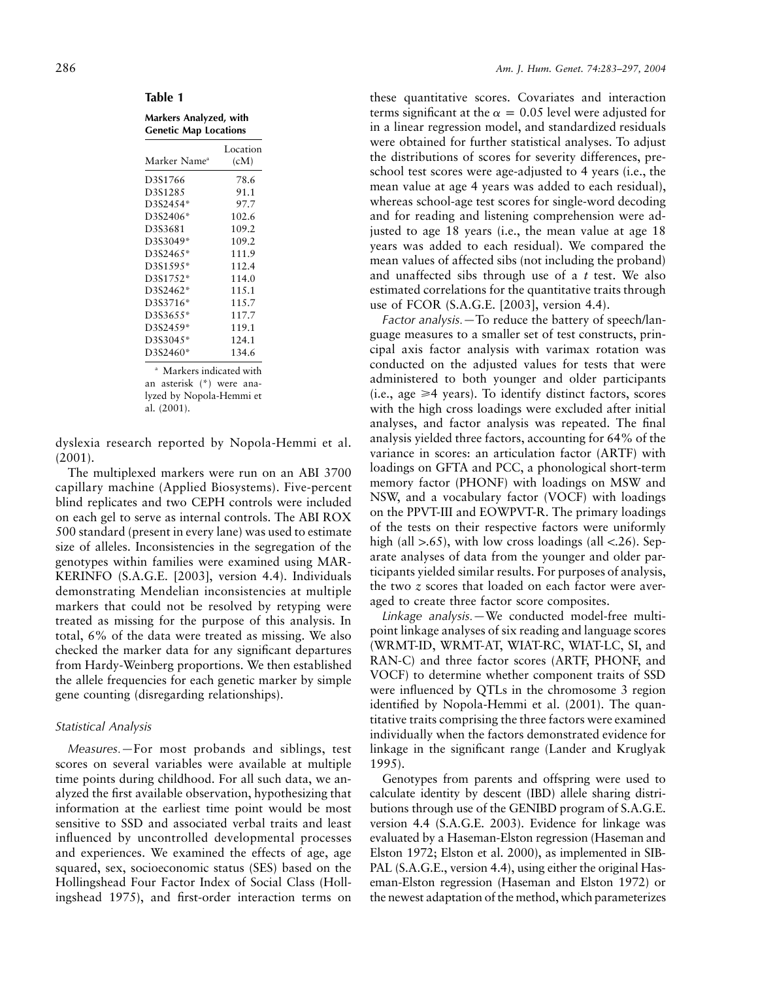| iabl |  |
|------|--|
|------|--|

|  | Markers Analyzed, with       |
|--|------------------------------|
|  | <b>Genetic Map Locations</b> |

| Marker Name <sup>a</sup>         | Location<br>(cM) |
|----------------------------------|------------------|
| D3S1766                          | 78.6             |
| D <sub>3</sub> S <sub>1285</sub> | 91.1             |
| D3S2454*                         | 97.7             |
| D3S2406*                         | 102.6            |
| D3S3681                          | 109.2            |
| D3S3049*                         | 109.2            |
| D3S2465*                         | 111.9            |
| D3S1595*                         | 112.4            |
| D3S1752*                         | 114.0            |
| D3S2462*                         | 115.1            |
| D3S3716*                         | 115.7            |
| D3S3655*                         | 117.7            |
| D3S2459*                         | 119.1            |
| D3S3045*                         | 124.1            |
| D3S2460*                         | 134.6            |
| $-1$                             |                  |

Markers indicated with an asterisk (\*) were analyzed by Nopola-Hemmi et al. (2001).

dyslexia research reported by Nopola-Hemmi et al. (2001).

The multiplexed markers were run on an ABI 3700 capillary machine (Applied Biosystems). Five-percent blind replicates and two CEPH controls were included on each gel to serve as internal controls. The ABI ROX 500 standard (present in every lane) was used to estimate size of alleles. Inconsistencies in the segregation of the genotypes within families were examined using MAR-KERINFO (S.A.G.E. [2003], version 4.4). Individuals demonstrating Mendelian inconsistencies at multiple markers that could not be resolved by retyping were treated as missing for the purpose of this analysis. In total, 6% of the data were treated as missing. We also checked the marker data for any significant departures from Hardy-Weinberg proportions. We then established the allele frequencies for each genetic marker by simple gene counting (disregarding relationships).

#### *Statistical Analysis*

*Measures.—*For most probands and siblings, test scores on several variables were available at multiple time points during childhood. For all such data, we analyzed the first available observation, hypothesizing that information at the earliest time point would be most sensitive to SSD and associated verbal traits and least influenced by uncontrolled developmental processes and experiences. We examined the effects of age, age squared, sex, socioeconomic status (SES) based on the Hollingshead Four Factor Index of Social Class (Hollingshead 1975), and first-order interaction terms on

these quantitative scores. Covariates and interaction terms significant at the  $\alpha = 0.05$  level were adjusted for in a linear regression model, and standardized residuals were obtained for further statistical analyses. To adjust the distributions of scores for severity differences, preschool test scores were age-adjusted to 4 years (i.e., the mean value at age 4 years was added to each residual), whereas school-age test scores for single-word decoding and for reading and listening comprehension were adjusted to age 18 years (i.e., the mean value at age 18 years was added to each residual). We compared the mean values of affected sibs (not including the proband) and unaffected sibs through use of a *t* test. We also estimated correlations for the quantitative traits through use of FCOR (S.A.G.E. [2003], version 4.4).

*Factor analysis.—*To reduce the battery of speech/language measures to a smaller set of test constructs, principal axis factor analysis with varimax rotation was conducted on the adjusted values for tests that were administered to both younger and older participants  $(i.e., age \geq 4 years)$ . To identify distinct factors, scores with the high cross loadings were excluded after initial analyses, and factor analysis was repeated. The final analysis yielded three factors, accounting for 64% of the variance in scores: an articulation factor (ARTF) with loadings on GFTA and PCC, a phonological short-term memory factor (PHONF) with loadings on MSW and NSW, and a vocabulary factor (VOCF) with loadings on the PPVT-III and EOWPVT-R. The primary loadings of the tests on their respective factors were uniformly high (all  $> 65$ ), with low cross loadings (all  $< 26$ ). Separate analyses of data from the younger and older participants yielded similar results. For purposes of analysis, the two *z* scores that loaded on each factor were averaged to create three factor score composites.

*Linkage analysis.—*We conducted model-free multipoint linkage analyses of six reading and language scores (WRMT-ID, WRMT-AT, WIAT-RC, WIAT-LC, SI, and RAN-C) and three factor scores (ARTF, PHONF, and VOCF) to determine whether component traits of SSD were influenced by QTLs in the chromosome 3 region identified by Nopola-Hemmi et al. (2001). The quantitative traits comprising the three factors were examined individually when the factors demonstrated evidence for linkage in the significant range (Lander and Kruglyak 1995).

Genotypes from parents and offspring were used to calculate identity by descent (IBD) allele sharing distributions through use of the GENIBD program of S.A.G.E. version 4.4 (S.A.G.E. 2003). Evidence for linkage was evaluated by a Haseman-Elston regression (Haseman and Elston 1972; Elston et al. 2000), as implemented in SIB-PAL (S.A.G.E., version 4.4), using either the original Haseman-Elston regression (Haseman and Elston 1972) or the newest adaptation of the method, which parameterizes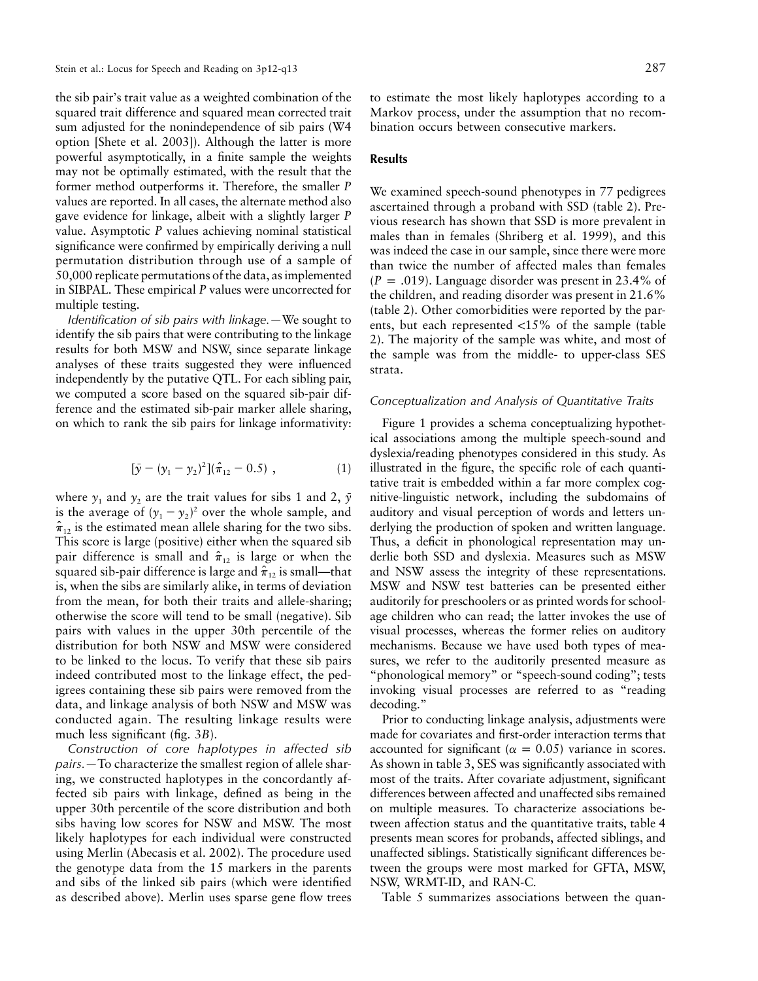the sib pair's trait value as a weighted combination of the squared trait difference and squared mean corrected trait sum adjusted for the nonindependence of sib pairs (W4 option [Shete et al. 2003]). Although the latter is more powerful asymptotically, in a finite sample the weights may not be optimally estimated, with the result that the former method outperforms it. Therefore, the smaller *P* values are reported. In all cases, the alternate method also gave evidence for linkage, albeit with a slightly larger *P* value. Asymptotic *P* values achieving nominal statistical significance were confirmed by empirically deriving a null permutation distribution through use of a sample of 50,000 replicate permutations of the data, as implemented in SIBPAL. These empirical *P* values were uncorrected for multiple testing.

*Identification of sib pairs with linkage.—*We sought to identify the sib pairs that were contributing to the linkage results for both MSW and NSW, since separate linkage analyses of these traits suggested they were influenced independently by the putative QTL. For each sibling pair, we computed a score based on the squared sib-pair difference and the estimated sib-pair marker allele sharing, on which to rank the sib pairs for linkage informativity:

$$
[\bar{y} - (y_1 - y_2)^2](\hat{\pi}_{12} - 0.5) , \qquad (1)
$$

where  $y_1$  and  $y_2$  are the trait values for sibs 1 and 2,  $\bar{y}$ is the average of  $(y_1 - y_2)^2$  over the whole sample, and  $\hat{\pi}_{12}$  is the estimated mean allele sharing for the two sibs. This score is large (positive) either when the squared sib pair difference is small and  $\hat{\pi}_{12}$  is large or when the squared sib-pair difference is large and  $\hat{\pi}_{12}$  is small—that is, when the sibs are similarly alike, in terms of deviation from the mean, for both their traits and allele-sharing; otherwise the score will tend to be small (negative). Sib pairs with values in the upper 30th percentile of the distribution for both NSW and MSW were considered to be linked to the locus. To verify that these sib pairs indeed contributed most to the linkage effect, the pedigrees containing these sib pairs were removed from the data, and linkage analysis of both NSW and MSW was conducted again. The resulting linkage results were much less significant (fig. 3*B*).

*Construction of core haplotypes in affected sib pairs.—*To characterize the smallest region of allele sharing, we constructed haplotypes in the concordantly affected sib pairs with linkage, defined as being in the upper 30th percentile of the score distribution and both sibs having low scores for NSW and MSW. The most likely haplotypes for each individual were constructed using Merlin (Abecasis et al. 2002). The procedure used the genotype data from the 15 markers in the parents and sibs of the linked sib pairs (which were identified as described above). Merlin uses sparse gene flow trees

to estimate the most likely haplotypes according to a Markov process, under the assumption that no recombination occurs between consecutive markers.

# **Results**

We examined speech-sound phenotypes in 77 pedigrees ascertained through a proband with SSD (table 2). Previous research has shown that SSD is more prevalent in males than in females (Shriberg et al. 1999), and this was indeed the case in our sample, since there were more than twice the number of affected males than females  $(P = .019)$ . Language disorder was present in 23.4% of the children, and reading disorder was present in 21.6% (table 2). Other comorbidities were reported by the parents, but each represented  $\langle 15\% \rangle$  of the sample (table 2). The majority of the sample was white, and most of the sample was from the middle- to upper-class SES strata.

#### *Conceptualization and Analysis of Quantitative Traits*

Figure 1 provides a schema conceptualizing hypothetical associations among the multiple speech-sound and dyslexia/reading phenotypes considered in this study. As illustrated in the figure, the specific role of each quantitative trait is embedded within a far more complex cognitive-linguistic network, including the subdomains of auditory and visual perception of words and letters underlying the production of spoken and written language. Thus, a deficit in phonological representation may underlie both SSD and dyslexia. Measures such as MSW and NSW assess the integrity of these representations. MSW and NSW test batteries can be presented either auditorily for preschoolers or as printed words for schoolage children who can read; the latter invokes the use of visual processes, whereas the former relies on auditory mechanisms. Because we have used both types of measures, we refer to the auditorily presented measure as "phonological memory" or "speech-sound coding"; tests invoking visual processes are referred to as "reading decoding."

Prior to conducting linkage analysis, adjustments were made for covariates and first-order interaction terms that accounted for significant ( $\alpha = 0.05$ ) variance in scores. As shown in table 3, SES was significantly associated with most of the traits. After covariate adjustment, significant differences between affected and unaffected sibs remained on multiple measures. To characterize associations between affection status and the quantitative traits, table 4 presents mean scores for probands, affected siblings, and unaffected siblings. Statistically significant differences between the groups were most marked for GFTA, MSW, NSW, WRMT-ID, and RAN-C.

Table 5 summarizes associations between the quan-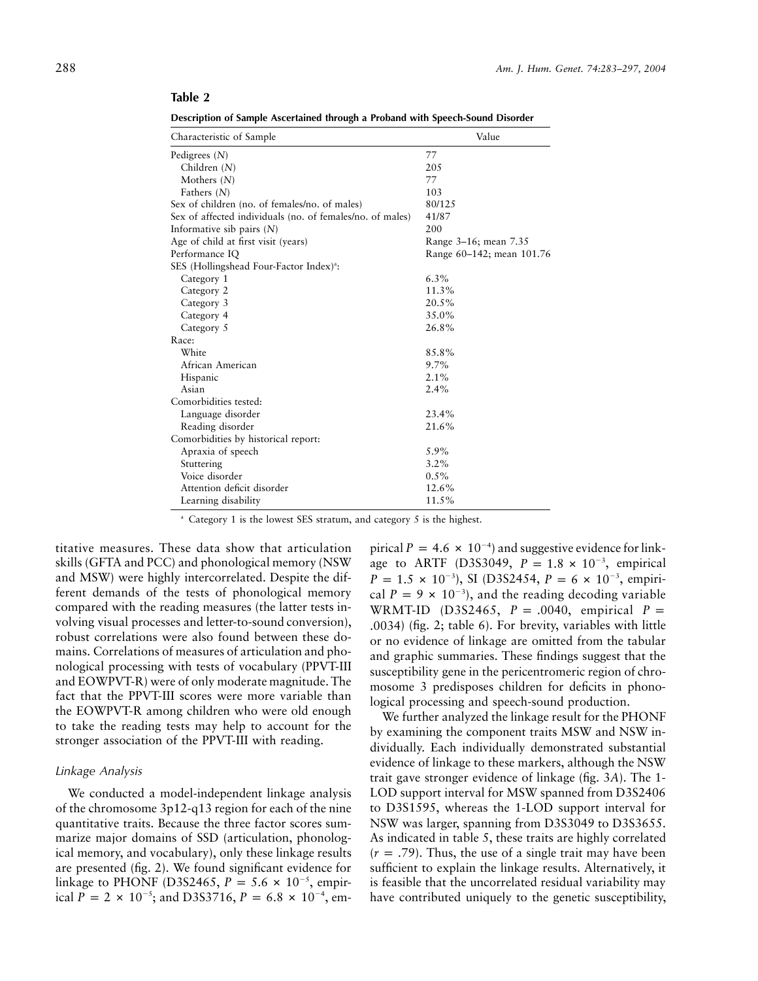**Table 2**

|  |  | Description of Sample Ascertained through a Proband with Speech-Sound Disorder |  |
|--|--|--------------------------------------------------------------------------------|--|

| Characteristic of Sample                                  | Value                     |
|-----------------------------------------------------------|---------------------------|
| Pedigrees $(N)$                                           | 77                        |
| Children $(N)$                                            | 205                       |
| Mothers $(N)$                                             | 77                        |
| Fathers $(N)$                                             | 103                       |
| Sex of children (no. of females/no. of males)             | 80/125                    |
| Sex of affected individuals (no. of females/no. of males) | 41/87                     |
| Informative sib pairs $(N)$                               | 200                       |
| Age of child at first visit (years)                       | Range 3–16; mean 7.35     |
| Performance IQ                                            | Range 60–142; mean 101.76 |
| SES (Hollingshead Four-Factor Index) <sup>a</sup> :       |                           |
| Category 1                                                | $6.3\%$                   |
| Category 2                                                | 11.3%                     |
| Category 3                                                | 20.5%                     |
| Category 4                                                | 35.0%                     |
| Category 5                                                | 26.8%                     |
| Race:                                                     |                           |
| White                                                     | 85.8%                     |
| African American                                          | $9.7\%$                   |
| Hispanic                                                  | 2.1%                      |
| Asian                                                     | 2.4%                      |
| Comorbidities tested:                                     |                           |
| Language disorder                                         | 23.4%                     |
| Reading disorder                                          | 21.6%                     |
| Comorbidities by historical report:                       |                           |
| Apraxia of speech                                         | 5.9%                      |
| Stuttering                                                | 3.2%                      |
| Voice disorder                                            | $0.5\%$                   |
| Attention deficit disorder                                | 12.6%                     |
| Learning disability                                       | 11.5%                     |
|                                                           |                           |

<sup>a</sup> Category 1 is the lowest SES stratum, and category 5 is the highest.

titative measures. These data show that articulation skills (GFTA and PCC) and phonological memory (NSW and MSW) were highly intercorrelated. Despite the different demands of the tests of phonological memory compared with the reading measures (the latter tests involving visual processes and letter-to-sound conversion), robust correlations were also found between these domains. Correlations of measures of articulation and phonological processing with tests of vocabulary (PPVT-III and EOWPVT-R) were of only moderate magnitude. The fact that the PPVT-III scores were more variable than the EOWPVT-R among children who were old enough to take the reading tests may help to account for the stronger association of the PPVT-III with reading.

# *Linkage Analysis*

We conducted a model-independent linkage analysis of the chromosome 3p12-q13 region for each of the nine quantitative traits. Because the three factor scores summarize major domains of SSD (articulation, phonological memory, and vocabulary), only these linkage results are presented (fig. 2). We found significant evidence for linkage to PHONF (D3S2465,  $P = 5.6 \times 10^{-5}$ , empirical  $P = 2 \times 10^{-5}$ ; and D3S3716,  $P = 6.8 \times 10^{-4}$ , em-

pirical  $P = 4.6 \times 10^{-4}$  and suggestive evidence for linkage to ARTF (D3S3049,  $P = 1.8 \times 10^{-3}$ , empirical  $P = 1.5 \times 10^{-3}$ , SI (D3S2454,  $P = 6 \times 10^{-3}$ , empirical  $P = 9 \times 10^{-3}$ , and the reading decoding variable WRMT-ID (D3S2465,  $P = .0040$ , empirical  $P =$ .0034) (fig. 2; table 6). For brevity, variables with little or no evidence of linkage are omitted from the tabular and graphic summaries. These findings suggest that the susceptibility gene in the pericentromeric region of chromosome 3 predisposes children for deficits in phonological processing and speech-sound production.

We further analyzed the linkage result for the PHONF by examining the component traits MSW and NSW individually. Each individually demonstrated substantial evidence of linkage to these markers, although the NSW trait gave stronger evidence of linkage (fig. 3*A*). The 1- LOD support interval for MSW spanned from D3S2406 to D3S1595, whereas the 1-LOD support interval for NSW was larger, spanning from D3S3049 to D3S3655. As indicated in table 5, these traits are highly correlated  $(r = .79)$ . Thus, the use of a single trait may have been sufficient to explain the linkage results. Alternatively, it is feasible that the uncorrelated residual variability may have contributed uniquely to the genetic susceptibility,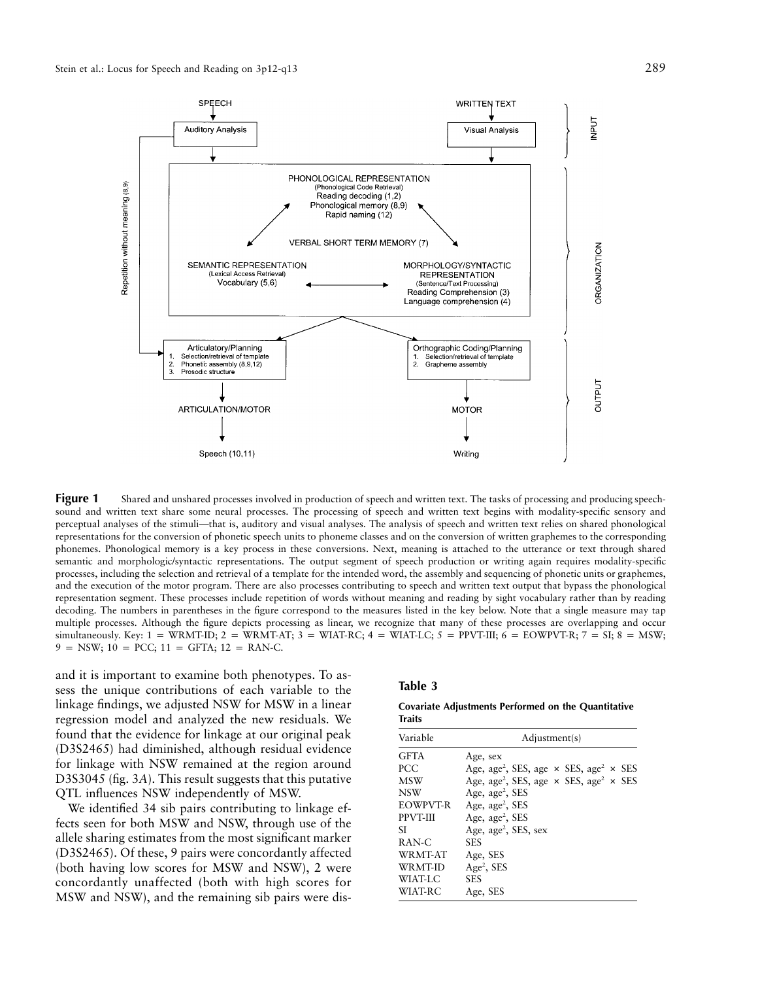

**Figure 1** Shared and unshared processes involved in production of speech and written text. The tasks of processing and producing speechsound and written text share some neural processes. The processing of speech and written text begins with modality-specific sensory and perceptual analyses of the stimuli—that is, auditory and visual analyses. The analysis of speech and written text relies on shared phonological representations for the conversion of phonetic speech units to phoneme classes and on the conversion of written graphemes to the corresponding phonemes. Phonological memory is a key process in these conversions. Next, meaning is attached to the utterance or text through shared semantic and morphologic/syntactic representations. The output segment of speech production or writing again requires modality-specific processes, including the selection and retrieval of a template for the intended word, the assembly and sequencing of phonetic units or graphemes, and the execution of the motor program. There are also processes contributing to speech and written text output that bypass the phonological representation segment. These processes include repetition of words without meaning and reading by sight vocabulary rather than by reading decoding. The numbers in parentheses in the figure correspond to the measures listed in the key below. Note that a single measure may tap multiple processes. Although the figure depicts processing as linear, we recognize that many of these processes are overlapping and occur simultaneously. Key:  $1 = \text{WRMT-ID}$ ;  $2 = \text{WRMT-AT}$ ;  $3 = \text{WIAT-RC}$ ;  $4 = \text{WIAT-LC}$ ;  $5 = \text{PPVT-III}$ ;  $6 = \text{EOWPVT-R}$ ;  $7 = \text{SI}$ ;  $8 = \text{MSW}$ ;  $9 =$  NSW; 10 = PCC; 11 = GFTA; 12 = RAN-C.

and it is important to examine both phenotypes. To assess the unique contributions of each variable to the linkage findings, we adjusted NSW for MSW in a linear regression model and analyzed the new residuals. We found that the evidence for linkage at our original peak (D3S2465) had diminished, although residual evidence for linkage with NSW remained at the region around D3S3045 (fig. 3*A*). This result suggests that this putative QTL influences NSW independently of MSW.

We identified 34 sib pairs contributing to linkage effects seen for both MSW and NSW, through use of the allele sharing estimates from the most significant marker (D3S2465). Of these, 9 pairs were concordantly affected (both having low scores for MSW and NSW), 2 were concordantly unaffected (both with high scores for MSW and NSW), and the remaining sib pairs were dis-

# **Table 3**

**Covariate Adjustments Performed on the Quantitative Traits**

| Variable        | Adjustment(s)                                                                |  |  |  |  |  |  |  |  |  |
|-----------------|------------------------------------------------------------------------------|--|--|--|--|--|--|--|--|--|
| <b>GFTA</b>     | Age, sex                                                                     |  |  |  |  |  |  |  |  |  |
| <b>PCC</b>      | Age, age <sup>2</sup> , SES, age $\times$ SES, age <sup>2</sup> $\times$ SES |  |  |  |  |  |  |  |  |  |
| MSW             | Age, age <sup>2</sup> , SES, age $\times$ SES, age <sup>2</sup> $\times$ SES |  |  |  |  |  |  |  |  |  |
| <b>NSW</b>      | Age, $age^2$ , SES                                                           |  |  |  |  |  |  |  |  |  |
| EOWPVT-R        | Age, $age^2$ , SES                                                           |  |  |  |  |  |  |  |  |  |
| <b>PPVT-III</b> | Age, $age^2$ , SES                                                           |  |  |  |  |  |  |  |  |  |
| SІ              | Age, $age^2$ , SES, $sex$                                                    |  |  |  |  |  |  |  |  |  |
| RAN-C           | SES                                                                          |  |  |  |  |  |  |  |  |  |
| WR MT-AT        | Age, SES                                                                     |  |  |  |  |  |  |  |  |  |
| <b>WRMT-ID</b>  | Age <sup>2</sup> , SES                                                       |  |  |  |  |  |  |  |  |  |
| WIAT-LC         | SES                                                                          |  |  |  |  |  |  |  |  |  |
| WIAT-RC         | Age, SES                                                                     |  |  |  |  |  |  |  |  |  |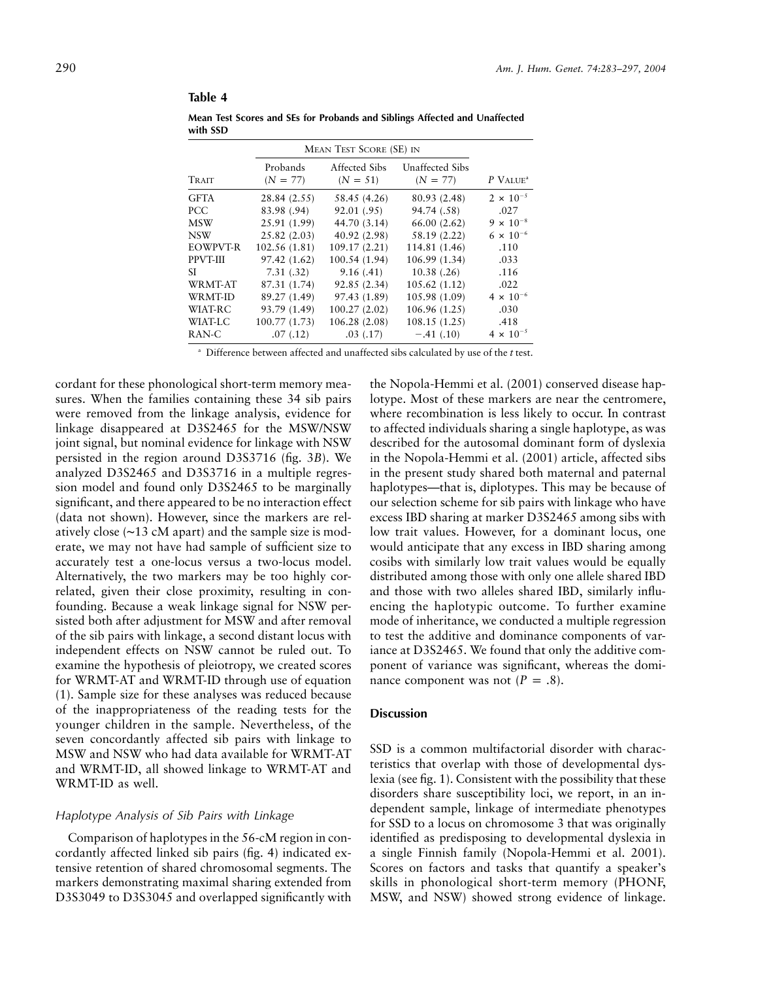|          |                        | <b>MEAN TEST SCORE (SE) IN</b> |                               |                        |  |  |  |  |  |  |  |
|----------|------------------------|--------------------------------|-------------------------------|------------------------|--|--|--|--|--|--|--|
| Trait    | Probands<br>$(N = 77)$ | Affected Sibs<br>$(N = 51)$    | Unaffected Sibs<br>$(N = 77)$ | $P$ VALUE <sup>a</sup> |  |  |  |  |  |  |  |
| GFTA     | 28.84 (2.55)           | 58.45 (4.26)                   | 80.93 (2.48)                  | $2 \times 10^{-5}$     |  |  |  |  |  |  |  |
| PCC      | 83.98 (.94)            | 92.01 (.95)                    | 94.74 (.58)                   | .027                   |  |  |  |  |  |  |  |
| MSW      | 25.91 (1.99)           | 44.70 (3.14)                   | 66.00(2.62)                   | $9 \times 10^{-8}$     |  |  |  |  |  |  |  |
| NSW      | 25.82(2.03)            | 40.92 (2.98)                   | 58.19 (2.22)                  | $6 \times 10^{-6}$     |  |  |  |  |  |  |  |
| EOWPVT-R | 102.56 (1.81)          | 109.17 (2.21)                  | 114.81 (1.46)                 | .110                   |  |  |  |  |  |  |  |
| PPVT-III | 97.42 (1.62)           | 100.54 (1.94)                  | 106.99 (1.34)                 | .033                   |  |  |  |  |  |  |  |
| SІ       | 7.31(.32)              | 9.16(0.41)                     | 10.38(0.26)                   | .116                   |  |  |  |  |  |  |  |
| WRMT-AT  | 87.31 (1.74)           | 92.85 (2.34)                   | 105.62(1.12)                  | .022                   |  |  |  |  |  |  |  |
| WRMT-ID  | 89.27 (1.49)           | 97.43 (1.89)                   | 105.98 (1.09)                 | $4 \times 10^{-6}$     |  |  |  |  |  |  |  |
| WIAT-RC  | 93.79 (1.49)           | 100.27(2.02)                   | 106.96 (1.25)                 | .030                   |  |  |  |  |  |  |  |
| WIAT-LC  | 100.77 (1.73)          | 106.28(2.08)                   | 108.15(1.25)                  | .418                   |  |  |  |  |  |  |  |
| RAN-C    | .07(0.12)              | .03(.17)                       | $-.41(.10)$                   | $4 \times 10^{-5}$     |  |  |  |  |  |  |  |

**Mean Test Scores and SEs for Probands and Siblings Affected and Unaffected with SSD**

<sup>a</sup> Difference between affected and unaffected sibs calculated by use of the *t* test.

cordant for these phonological short-term memory measures. When the families containing these 34 sib pairs were removed from the linkage analysis, evidence for linkage disappeared at D3S2465 for the MSW/NSW joint signal, but nominal evidence for linkage with NSW persisted in the region around D3S3716 (fig. 3*B*). We analyzed D3S2465 and D3S3716 in a multiple regression model and found only D3S2465 to be marginally significant, and there appeared to be no interaction effect (data not shown). However, since the markers are relatively close (∼13 cM apart) and the sample size is moderate, we may not have had sample of sufficient size to accurately test a one-locus versus a two-locus model. Alternatively, the two markers may be too highly correlated, given their close proximity, resulting in confounding. Because a weak linkage signal for NSW persisted both after adjustment for MSW and after removal of the sib pairs with linkage, a second distant locus with independent effects on NSW cannot be ruled out. To examine the hypothesis of pleiotropy, we created scores for WRMT-AT and WRMT-ID through use of equation (1). Sample size for these analyses was reduced because of the inappropriateness of the reading tests for the younger children in the sample. Nevertheless, of the seven concordantly affected sib pairs with linkage to MSW and NSW who had data available for WRMT-AT and WRMT-ID, all showed linkage to WRMT-AT and WRMT-ID as well.

**Table 4**

# *Haplotype Analysis of Sib Pairs with Linkage*

Comparison of haplotypes in the 56-cM region in concordantly affected linked sib pairs (fig. 4) indicated extensive retention of shared chromosomal segments. The markers demonstrating maximal sharing extended from D3S3049 to D3S3045 and overlapped significantly with

the Nopola-Hemmi et al. (2001) conserved disease haplotype. Most of these markers are near the centromere, where recombination is less likely to occur. In contrast to affected individuals sharing a single haplotype, as was described for the autosomal dominant form of dyslexia in the Nopola-Hemmi et al. (2001) article, affected sibs in the present study shared both maternal and paternal haplotypes—that is, diplotypes. This may be because of our selection scheme for sib pairs with linkage who have excess IBD sharing at marker D3S2465 among sibs with low trait values. However, for a dominant locus, one would anticipate that any excess in IBD sharing among cosibs with similarly low trait values would be equally distributed among those with only one allele shared IBD and those with two alleles shared IBD, similarly influencing the haplotypic outcome. To further examine mode of inheritance, we conducted a multiple regression to test the additive and dominance components of variance at D3S2465. We found that only the additive component of variance was significant, whereas the dominance component was not  $(P = .8)$ .

# **Discussion**

SSD is a common multifactorial disorder with characteristics that overlap with those of developmental dyslexia (see fig. 1). Consistent with the possibility that these disorders share susceptibility loci, we report, in an independent sample, linkage of intermediate phenotypes for SSD to a locus on chromosome 3 that was originally identified as predisposing to developmental dyslexia in a single Finnish family (Nopola-Hemmi et al. 2001). Scores on factors and tasks that quantify a speaker's skills in phonological short-term memory (PHONF, MSW, and NSW) showed strong evidence of linkage.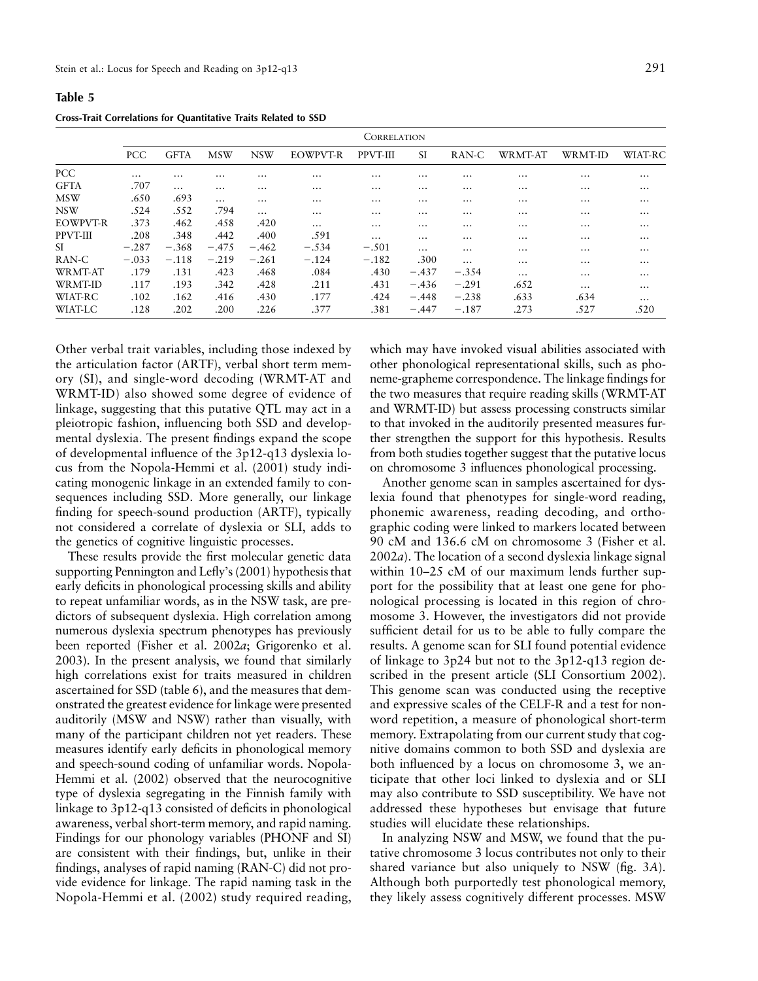**Cross-Trait Correlations for Quantitative Traits Related to SSD**

**Table 5**

|                 | <b>CONNELATION</b> |             |            |            |          |          |          |          |                |                |          |  |  |
|-----------------|--------------------|-------------|------------|------------|----------|----------|----------|----------|----------------|----------------|----------|--|--|
|                 | <b>PCC</b>         | <b>GFTA</b> | <b>MSW</b> | <b>NSW</b> | EOWPVT-R | PPVT-III | SI.      | RAN-C    | <b>WRMT-AT</b> | <b>WRMT-ID</b> | WIAT-RC  |  |  |
| <b>PCC</b>      | $\cdots$           | $\cdots$    | $\cdots$   | $\cdots$   | $\cdots$ | $\cdots$ | $\cdots$ | $\cdots$ | $\cdots$       | $\cdots$       | $\cdots$ |  |  |
| <b>GFTA</b>     | .707               | $\cdots$    | $\cdots$   | $\cdots$   | $\cdots$ | $\cdots$ | $\cdots$ | $\cdots$ | $\cdots$       | $\cdots$       | $\cdots$ |  |  |
| <b>MSW</b>      | .650               | .693        | $\cdots$   | $\cdots$   | $\cdots$ | $\cdots$ | $\cdots$ | $\cdots$ | $\cdots$       | $\cdots$       | $\cdots$ |  |  |
| <b>NSW</b>      | .524               | .552        | .794       | $\cdots$   | $\cdots$ | $\cdots$ | $\cdots$ | $\cdots$ | $\cdots$       | $\cdots$       | $\cdots$ |  |  |
| <b>EOWPVT-R</b> | .373               | .462        | .458       | .420       | $\cdots$ | $\cdots$ | $\cdots$ | $\cdots$ | $\cdots$       | $\cdots$       | $\cdots$ |  |  |
| <b>PPVT-III</b> | .208               | .348        | .442       | .400       | .591     | $\cdots$ | $\cdots$ | $\cdots$ | $\cdots$       | $\cdots$       | $\cdots$ |  |  |
| SI.             | $-.287$            | $-.368$     | $-.475$    | $-.462$    | $-.534$  | $-.501$  | $\cdots$ | $\cdots$ | $\cdots$       | $\cdots$       | $\cdots$ |  |  |
| RAN-C           | $-.033$            | $-.118$     | $-.219$    | $-.261$    | $-.124$  | $-.182$  | .300     | $\cdots$ | $\cdots$       | $\cdots$       | $\cdots$ |  |  |
| WRMT-AT         | .179               | .131        | .423       | .468       | .084     | .430     | $-.437$  | $-.354$  | $\cdots$       | $\cdots$       | $\cdots$ |  |  |
| <b>WRMT-ID</b>  | .117               | .193        | .342       | .428       | .211     | .431     | $-.436$  | $-.291$  | .652           | $\cdots$       | $\cdots$ |  |  |
| WIAT-RC         | .102               | .162        | .416       | .430       | .177     | .424     | $-.448$  | $-.238$  | .633           | .634           | $\cdots$ |  |  |
| WIAT-LC         | .128               | .202        | .200       | .226       | .377     | .381     | $-.447$  | $-.187$  | .273           | .527           | .520     |  |  |
|                 |                    |             |            |            |          |          |          |          |                |                |          |  |  |

Other verbal trait variables, including those indexed by the articulation factor (ARTF), verbal short term memory (SI), and single-word decoding (WRMT-AT and WRMT-ID) also showed some degree of evidence of linkage, suggesting that this putative QTL may act in a pleiotropic fashion, influencing both SSD and developmental dyslexia. The present findings expand the scope of developmental influence of the 3p12-q13 dyslexia locus from the Nopola-Hemmi et al. (2001) study indicating monogenic linkage in an extended family to consequences including SSD. More generally, our linkage finding for speech-sound production (ARTF), typically not considered a correlate of dyslexia or SLI, adds to the genetics of cognitive linguistic processes.

These results provide the first molecular genetic data supporting Pennington and Lefly's (2001) hypothesis that early deficits in phonological processing skills and ability to repeat unfamiliar words, as in the NSW task, are predictors of subsequent dyslexia. High correlation among numerous dyslexia spectrum phenotypes has previously been reported (Fisher et al. 2002*a*; Grigorenko et al. 2003). In the present analysis, we found that similarly high correlations exist for traits measured in children ascertained for SSD (table 6), and the measures that demonstrated the greatest evidence for linkage were presented auditorily (MSW and NSW) rather than visually, with many of the participant children not yet readers. These measures identify early deficits in phonological memory and speech-sound coding of unfamiliar words. Nopola-Hemmi et al. (2002) observed that the neurocognitive type of dyslexia segregating in the Finnish family with linkage to 3p12-q13 consisted of deficits in phonological awareness, verbal short-term memory, and rapid naming. Findings for our phonology variables (PHONF and SI) are consistent with their findings, but, unlike in their findings, analyses of rapid naming (RAN-C) did not provide evidence for linkage. The rapid naming task in the Nopola-Hemmi et al. (2002) study required reading,

which may have invoked visual abilities associated with other phonological representational skills, such as phoneme-grapheme correspondence. The linkage findings for the two measures that require reading skills (WRMT-AT and WRMT-ID) but assess processing constructs similar to that invoked in the auditorily presented measures further strengthen the support for this hypothesis. Results from both studies together suggest that the putative locus on chromosome 3 influences phonological processing.

Another genome scan in samples ascertained for dyslexia found that phenotypes for single-word reading, phonemic awareness, reading decoding, and orthographic coding were linked to markers located between 90 cM and 136.6 cM on chromosome 3 (Fisher et al. 2002*a*). The location of a second dyslexia linkage signal within 10–25 cM of our maximum lends further support for the possibility that at least one gene for phonological processing is located in this region of chromosome 3. However, the investigators did not provide sufficient detail for us to be able to fully compare the results. A genome scan for SLI found potential evidence of linkage to 3p24 but not to the 3p12-q13 region described in the present article (SLI Consortium 2002). This genome scan was conducted using the receptive and expressive scales of the CELF-R and a test for nonword repetition, a measure of phonological short-term memory. Extrapolating from our current study that cognitive domains common to both SSD and dyslexia are both influenced by a locus on chromosome 3, we anticipate that other loci linked to dyslexia and or SLI may also contribute to SSD susceptibility. We have not addressed these hypotheses but envisage that future studies will elucidate these relationships.

In analyzing NSW and MSW, we found that the putative chromosome 3 locus contributes not only to their shared variance but also uniquely to NSW (fig. 3*A*). Although both purportedly test phonological memory, they likely assess cognitively different processes. MSW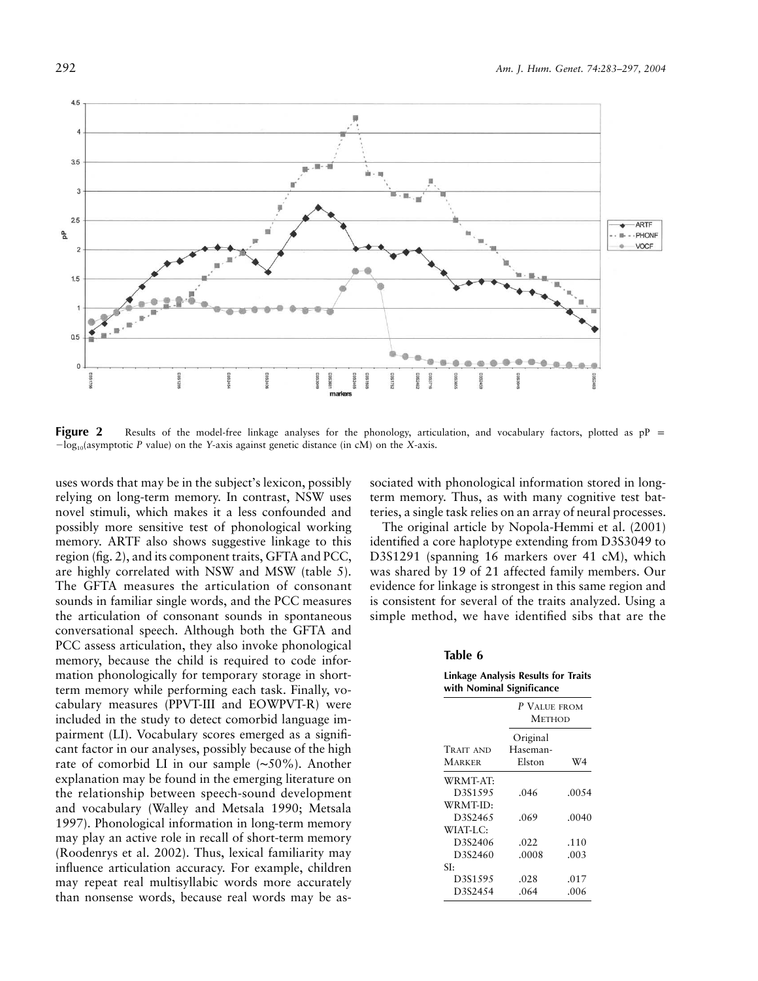

**Figure 2** Results of the model-free linkage analyses for the phonology, articulation, and vocabulary factors, plotted as pP = log10(asymptotic *P* value) on the *Y*-axis against genetic distance (in cM) on the *X*-axis.

uses words that may be in the subject's lexicon, possibly relying on long-term memory. In contrast, NSW uses novel stimuli, which makes it a less confounded and possibly more sensitive test of phonological working memory. ARTF also shows suggestive linkage to this region (fig. 2), and its component traits, GFTA and PCC, are highly correlated with NSW and MSW (table 5). The GFTA measures the articulation of consonant sounds in familiar single words, and the PCC measures the articulation of consonant sounds in spontaneous conversational speech. Although both the GFTA and PCC assess articulation, they also invoke phonological memory, because the child is required to code information phonologically for temporary storage in shortterm memory while performing each task. Finally, vocabulary measures (PPVT-III and EOWPVT-R) were included in the study to detect comorbid language impairment (LI). Vocabulary scores emerged as a significant factor in our analyses, possibly because of the high rate of comorbid LI in our sample (∼50%). Another explanation may be found in the emerging literature on the relationship between speech-sound development and vocabulary (Walley and Metsala 1990; Metsala 1997). Phonological information in long-term memory may play an active role in recall of short-term memory (Roodenrys et al. 2002). Thus, lexical familiarity may influence articulation accuracy. For example, children may repeat real multisyllabic words more accurately than nonsense words, because real words may be as-

sociated with phonological information stored in longterm memory. Thus, as with many cognitive test batteries, a single task relies on an array of neural processes.

The original article by Nopola-Hemmi et al. (2001) identified a core haplotype extending from D3S3049 to D3S1291 (spanning 16 markers over 41 cM), which was shared by 19 of 21 affected family members. Our evidence for linkage is strongest in this same region and is consistent for several of the traits analyzed. Using a simple method, we have identified sibs that are the

#### **Table 6**

# **Linkage Analysis Results for Traits with Nominal Significance**

|                                  | P VALUE FROM<br>Method         |       |  |  |  |  |  |
|----------------------------------|--------------------------------|-------|--|--|--|--|--|
| <b>TRAIT AND</b><br>MARKER       | Original<br>Haseman-<br>Elston | W4    |  |  |  |  |  |
| WRMT-AT:                         |                                |       |  |  |  |  |  |
| D <sub>3</sub> S <sub>1595</sub> | .046                           | .0054 |  |  |  |  |  |
| WRMT-ID:                         |                                |       |  |  |  |  |  |
| D <sub>3</sub> S <sub>2465</sub> | .069                           | .0040 |  |  |  |  |  |
| WIAT-LC:                         |                                |       |  |  |  |  |  |
| D <sub>3</sub> S <sub>2406</sub> | .022                           | .110  |  |  |  |  |  |
| D <sub>3</sub> S <sub>2460</sub> | .0008                          | .003  |  |  |  |  |  |
| SI:                              |                                |       |  |  |  |  |  |
| D <sub>3</sub> S <sub>1595</sub> | .028                           | .017  |  |  |  |  |  |
| D <sub>3</sub> S <sub>2454</sub> | .064                           | .006  |  |  |  |  |  |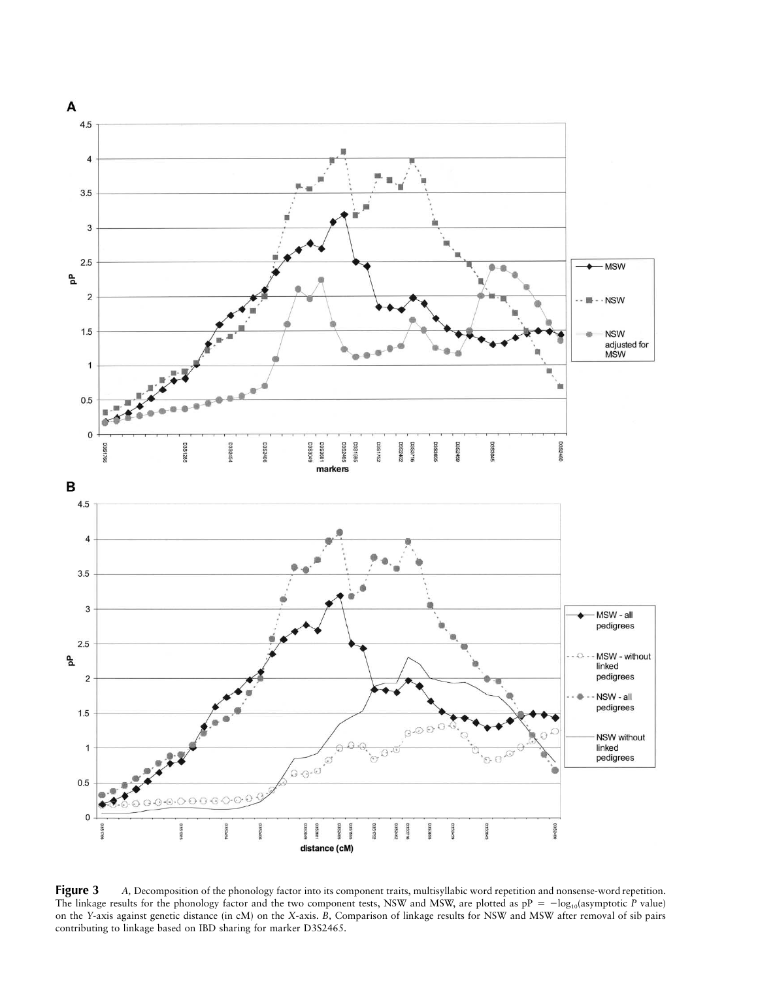

**Figure 3** *A,* Decomposition of the phonology factor into its component traits, multisyllabic word repetition and nonsense-word repetition. The linkage results for the phonology factor and the two component tests, NSW and MSW, are plotted as  $pP = -log_{10}($ asymptotic *P* value) on the *Y*-axis against genetic distance (in cM) on the *X*-axis. *B,* Comparison of linkage results for NSW and MSW after removal of sib pairs contributing to linkage based on IBD sharing for marker D3S2465.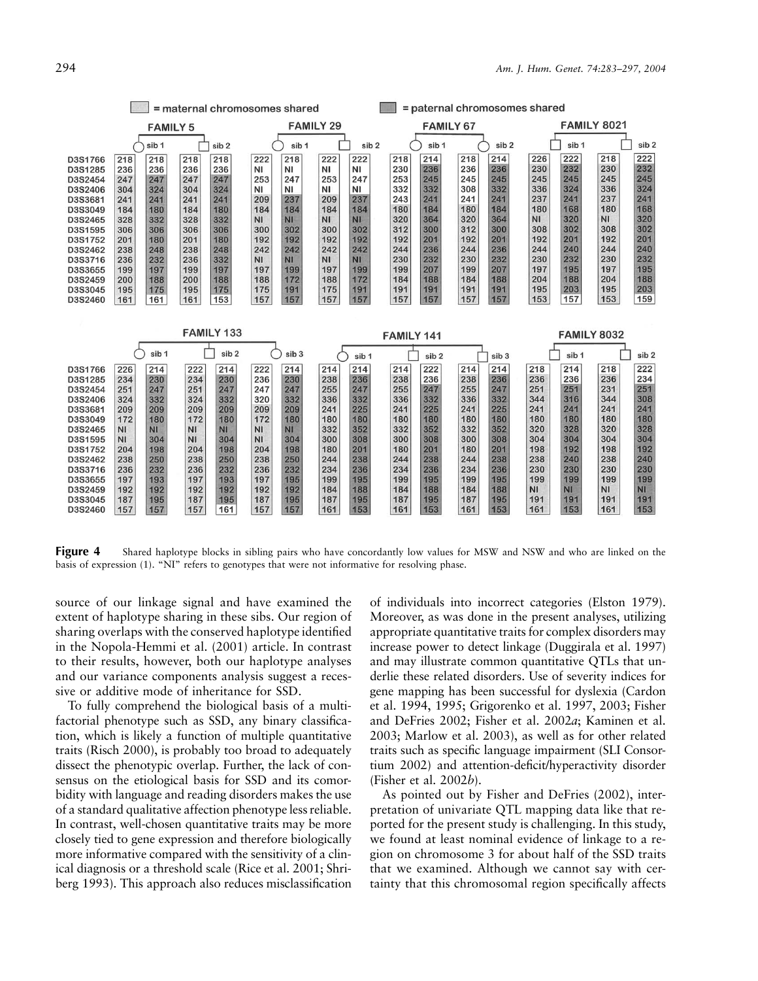|                                                                                                                                                                   | = maternal chromosomes shared                                                                              |                                                                                                       |                                                                                                            |                                                                                                       |                                                                                                                 |                                                                                                                 | = paternal chromosomes shared                                                                                          |                                                                                                                 |                                                                                                       |                                                                                                       |                                                                                                       |                                                                                                       |                                                                                                             |                                                                                                       |                                                                                                             |                                                                                                       |
|-------------------------------------------------------------------------------------------------------------------------------------------------------------------|------------------------------------------------------------------------------------------------------------|-------------------------------------------------------------------------------------------------------|------------------------------------------------------------------------------------------------------------|-------------------------------------------------------------------------------------------------------|-----------------------------------------------------------------------------------------------------------------|-----------------------------------------------------------------------------------------------------------------|------------------------------------------------------------------------------------------------------------------------|-----------------------------------------------------------------------------------------------------------------|-------------------------------------------------------------------------------------------------------|-------------------------------------------------------------------------------------------------------|-------------------------------------------------------------------------------------------------------|-------------------------------------------------------------------------------------------------------|-------------------------------------------------------------------------------------------------------------|-------------------------------------------------------------------------------------------------------|-------------------------------------------------------------------------------------------------------------|-------------------------------------------------------------------------------------------------------|
|                                                                                                                                                                   | <b>FAMILY 5</b>                                                                                            |                                                                                                       |                                                                                                            |                                                                                                       | <b>FAMILY 29</b>                                                                                                | <b>FAMILY 67</b>                                                                                                |                                                                                                                        |                                                                                                                 |                                                                                                       | <b>FAMILY 8021</b>                                                                                    |                                                                                                       |                                                                                                       |                                                                                                             |                                                                                                       |                                                                                                             |                                                                                                       |
|                                                                                                                                                                   |                                                                                                            | sib <sub>1</sub>                                                                                      |                                                                                                            | sib <sub>2</sub>                                                                                      |                                                                                                                 | sib <sub>1</sub>                                                                                                |                                                                                                                        | sib <sub>2</sub>                                                                                                |                                                                                                       | sib <sub>1</sub>                                                                                      |                                                                                                       | sib <sub>2</sub>                                                                                      |                                                                                                             | sib <sub>1</sub>                                                                                      |                                                                                                             | sib <sub>2</sub>                                                                                      |
| D3S1766<br>D3S1285<br>D3S2454<br>D3S2406<br>D3S3681<br>D3S3049<br>D3S2465<br>D3S1595<br>D3S1752<br>D3S2462<br>D3S3716<br>D3S3655<br>D3S2459<br>D3S3045<br>D3S2460 | 218<br>236<br>247<br>304<br>241<br>184<br>328<br>306<br>201<br>238<br>236<br>199<br>200<br>195<br>161      | 218<br>236<br>247<br>324<br>241<br>180<br>332<br>306<br>180<br>248<br>232<br>197<br>188<br>175<br>161 | 218<br>236<br>247<br>304<br>241<br>184<br>328<br>306<br>201<br>238<br>236<br>199<br>200<br>195<br>161      | 218<br>236<br>247<br>324<br>241<br>180<br>332<br>306<br>180<br>248<br>332<br>197<br>188<br>175<br>153 | 222<br>NI<br>253<br>ΝI<br>209<br>184<br><b>NI</b><br>300<br>192<br>242<br><b>NI</b><br>197<br>188<br>175<br>157 | 218<br>NI<br>247<br>ΝI<br>237<br>184<br><b>NI</b><br>302<br>192<br>242<br><b>NI</b><br>199<br>172<br>191<br>157 | 222<br>ΝI<br>253<br><b>NI</b><br>209<br>184<br><b>NI</b><br>300<br>192<br>242<br><b>NI</b><br>197<br>188<br>175<br>157 | 222<br>NI<br>247<br>NI<br>237<br>184<br><b>NI</b><br>302<br>192<br>242<br><b>NI</b><br>199<br>172<br>191<br>157 | 218<br>230<br>253<br>332<br>243<br>180<br>320<br>312<br>192<br>244<br>230<br>199<br>184<br>191<br>157 | 214<br>236<br>245<br>332<br>241<br>184<br>364<br>300<br>201<br>236<br>232<br>207<br>188<br>191<br>157 | 218<br>236<br>245<br>308<br>241<br>180<br>320<br>312<br>192<br>244<br>230<br>199<br>184<br>191<br>157 | 214<br>236<br>245<br>332<br>241<br>184<br>364<br>300<br>201<br>236<br>232<br>207<br>188<br>191<br>157 | 226<br>230<br>245<br>336<br>237<br>180<br><b>NI</b><br>308<br>192<br>244<br>230<br>197<br>204<br>195<br>153 | 222<br>232<br>245<br>324<br>241<br>168<br>320<br>302<br>201<br>240<br>232<br>195<br>188<br>203<br>157 | 218<br>230<br>245<br>336<br>237<br>180<br><b>NI</b><br>308<br>192<br>244<br>230<br>197<br>204<br>195<br>153 | 222<br>232<br>245<br>324<br>241<br>168<br>320<br>302<br>201<br>240<br>232<br>195<br>188<br>203<br>159 |
|                                                                                                                                                                   |                                                                                                            |                                                                                                       |                                                                                                            | FAMILY 133                                                                                            |                                                                                                                 |                                                                                                                 |                                                                                                                        |                                                                                                                 | FAMILY 141                                                                                            |                                                                                                       |                                                                                                       |                                                                                                       |                                                                                                             |                                                                                                       | <b>FAMILY 8032</b>                                                                                          |                                                                                                       |
|                                                                                                                                                                   |                                                                                                            | sib <sub>1</sub>                                                                                      |                                                                                                            | sib <sub>2</sub>                                                                                      |                                                                                                                 | sib <sub>3</sub>                                                                                                |                                                                                                                        | sib <sub>1</sub>                                                                                                |                                                                                                       | sib <sub>2</sub>                                                                                      |                                                                                                       | sib <sub>3</sub>                                                                                      |                                                                                                             | sib <sub>1</sub>                                                                                      |                                                                                                             | sib <sub>2</sub>                                                                                      |
| D3S1766<br>D3S1285<br>D3S2454<br>D3S2406<br>D3S3681<br>D3S3049<br>D3S2465<br>D3S1595<br>D3S1752<br>D3S2462<br>D3S3716<br>D3S3655<br>D3S2459<br>D3S3045            | 226<br>234<br>251<br>324<br>209<br>172<br><b>NI</b><br><b>NI</b><br>204<br>238<br>236<br>197<br>192<br>187 | 214<br>230<br>247<br>332<br>209<br>180<br><b>NI</b><br>304<br>198<br>250<br>232<br>193<br>192<br>195  | 222<br>234<br>251<br>324<br>209<br>172<br><b>NI</b><br><b>NI</b><br>204<br>238<br>236<br>197<br>192<br>187 | 214<br>230<br>247<br>332<br>209<br>180<br><b>NI</b><br>304<br>198<br>250<br>232<br>193<br>192<br>195  | 222<br>236<br>247<br>320<br>209<br>172<br>NI<br>NI<br>204<br>238<br>236<br>197<br>192<br>187                    | 214<br>230<br>247<br>332<br>209<br>180<br><b>NI</b><br>304<br>198<br>250<br>232<br>195<br>192<br>195            | 214<br>238<br>255<br>336<br>241<br>180<br>332<br>300<br>180<br>244<br>234<br>199<br>184<br>187                         | 214<br>236<br>247<br>332<br>225<br>180<br>352<br>308<br>201<br>238<br>236<br>195<br>188<br>195                  | 214<br>238<br>255<br>336<br>241<br>180<br>332<br>300<br>180<br>244<br>234<br>199<br>184<br>187        | 222<br>236<br>247<br>332<br>225<br>180<br>352<br>308<br>201<br>238<br>236<br>195<br>188<br>195        | 214<br>238<br>255<br>336<br>241<br>180<br>332<br>300<br>180<br>244<br>234<br>199<br>184<br>187        | 214<br>236<br>247<br>332<br>225<br>180<br>352<br>308<br>201<br>238<br>236<br>195<br>188<br>195        | 218<br>236<br>251<br>344<br>241<br>180<br>320<br>304<br>198<br>238<br>230<br>199<br><b>NI</b><br>191        | 214<br>236<br>251<br>316<br>241<br>180<br>328<br>304<br>192<br>240<br>230<br>199<br><b>NI</b><br>191  | 218<br>236<br>231<br>344<br>241<br>180<br>320<br>304<br>198<br>238<br>230<br>199<br><b>NI</b><br>191        | 222<br>234<br>251<br>308<br>241<br>180<br>328<br>304<br>192<br>240<br>230<br>199<br><b>NI</b><br>191  |

**Figure 4** Shared haplotype blocks in sibling pairs who have concordantly low values for MSW and NSW and who are linked on the basis of expression (1). "NI" refers to genotypes that were not informative for resolving phase.

source of our linkage signal and have examined the extent of haplotype sharing in these sibs. Our region of sharing overlaps with the conserved haplotype identified in the Nopola-Hemmi et al. (2001) article. In contrast to their results, however, both our haplotype analyses and our variance components analysis suggest a recessive or additive mode of inheritance for SSD.

To fully comprehend the biological basis of a multifactorial phenotype such as SSD, any binary classification, which is likely a function of multiple quantitative traits (Risch 2000), is probably too broad to adequately dissect the phenotypic overlap. Further, the lack of consensus on the etiological basis for SSD and its comorbidity with language and reading disorders makes the use of a standard qualitative affection phenotype less reliable. In contrast, well-chosen quantitative traits may be more closely tied to gene expression and therefore biologically more informative compared with the sensitivity of a clinical diagnosis or a threshold scale (Rice et al. 2001; Shriberg 1993). This approach also reduces misclassification

of individuals into incorrect categories (Elston 1979). Moreover, as was done in the present analyses, utilizing appropriate quantitative traits for complex disorders may increase power to detect linkage (Duggirala et al. 1997) and may illustrate common quantitative QTLs that underlie these related disorders. Use of severity indices for gene mapping has been successful for dyslexia (Cardon et al. 1994, 1995; Grigorenko et al. 1997, 2003; Fisher and DeFries 2002; Fisher et al. 2002*a*; Kaminen et al. 2003; Marlow et al. 2003), as well as for other related traits such as specific language impairment (SLI Consortium 2002) and attention-deficit/hyperactivity disorder (Fisher et al. 2002*b*).

As pointed out by Fisher and DeFries (2002), interpretation of univariate QTL mapping data like that reported for the present study is challenging. In this study, we found at least nominal evidence of linkage to a region on chromosome 3 for about half of the SSD traits that we examined. Although we cannot say with certainty that this chromosomal region specifically affects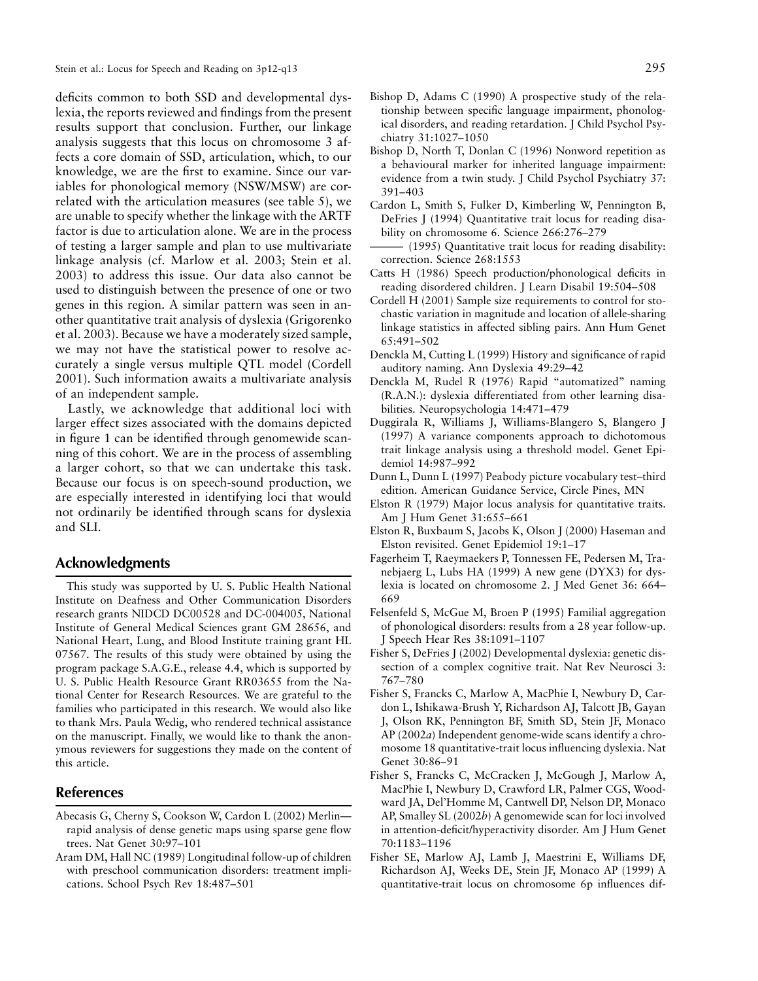deficits common to both SSD and developmental dyslexia, the reports reviewed and findings from the present results support that conclusion. Further, our linkage analysis suggests that this locus on chromosome 3 affects a core domain of SSD, articulation, which, to our knowledge, we are the first to examine. Since our variables for phonological memory (NSW/MSW) are correlated with the articulation measures (see table 5), we are unable to specify whether the linkage with the ARTF factor is due to articulation alone. We are in the process of testing a larger sample and plan to use multivariate linkage analysis (cf. Marlow et al. 2003; Stein et al. 2003) to address this issue. Our data also cannot be used to distinguish between the presence of one or two genes in this region. A similar pattern was seen in another quantitative trait analysis of dyslexia (Grigorenko et al. 2003). Because we have a moderately sized sample, we may not have the statistical power to resolve accurately a single versus multiple QTL model (Cordell 2001). Such information awaits a multivariate analysis of an independent sample.

Lastly, we acknowledge that additional loci with larger effect sizes associated with the domains depicted in figure 1 can be identified through genomewide scanning of this cohort. We are in the process of assembling a larger cohort, so that we can undertake this task. Because our focus is on speech-sound production, we are especially interested in identifying loci that would not ordinarily be identified through scans for dyslexia and SLI.

# **Acknowledgments**

This study was supported by U. S. Public Health National Institute on Deafness and Other Communication Disorders research grants NIDCD DC00528 and DC-004005, National Institute of General Medical Sciences grant GM 28656, and National Heart, Lung, and Blood Institute training grant HL 07567. The results of this study were obtained by using the program package S.A.G.E., release 4.4, which is supported by U. S. Public Health Resource Grant RR03655 from the National Center for Research Resources. We are grateful to the families who participated in this research. We would also like to thank Mrs. Paula Wedig, who rendered technical assistance on the manuscript. Finally, we would like to thank the anonymous reviewers for suggestions they made on the content of this article.

# **References**

- Abecasis G, Cherny S, Cookson W, Cardon L (2002) Merlin rapid analysis of dense genetic maps using sparse gene flow trees. Nat Genet 30:97–101
- Aram DM, Hall NC (1989) Longitudinal follow-up of children with preschool communication disorders: treatment implications. School Psych Rev 18:487–501
- Bishop D, Adams C (1990) A prospective study of the relationship between specific language impairment, phonological disorders, and reading retardation. J Child Psychol Psychiatry 31:1027–1050
- Bishop D, North T, Donlan C (1996) Nonword repetition as a behavioural marker for inherited language impairment: evidence from a twin study. J Child Psychol Psychiatry 37: 391–403
- Cardon L, Smith S, Fulker D, Kimberling W, Pennington B, DeFries J (1994) Quantitative trait locus for reading disability on chromosome 6. Science 266:276–279
- $-$  (1995) Quantitative trait locus for reading disability: correction. Science 268:1553
- Catts H (1986) Speech production/phonological deficits in reading disordered children. J Learn Disabil 19:504–508
- Cordell H (2001) Sample size requirements to control for stochastic variation in magnitude and location of allele-sharing linkage statistics in affected sibling pairs. Ann Hum Genet 65:491–502
- Denckla M, Cutting L (1999) History and significance of rapid auditory naming. Ann Dyslexia 49:29–42
- Denckla M, Rudel R (1976) Rapid "automatized" naming (R.A.N.): dyslexia differentiated from other learning disabilities. Neuropsychologia 14:471–479
- Duggirala R, Williams J, Williams-Blangero S, Blangero J (1997) A variance components approach to dichotomous trait linkage analysis using a threshold model. Genet Epidemiol 14:987–992
- Dunn L, Dunn L (1997) Peabody picture vocabulary test–third edition. American Guidance Service, Circle Pines, MN
- Elston R (1979) Major locus analysis for quantitative traits. Am J Hum Genet 31:655–661
- Elston R, Buxbaum S, Jacobs K, Olson J (2000) Haseman and Elston revisited. Genet Epidemiol 19:1–17
- Fagerheim T, Raeymaekers P, Tonnessen FE, Pedersen M, Tranebjaerg L, Lubs HA (1999) A new gene (DYX3) for dyslexia is located on chromosome 2. J Med Genet 36: 664– 669
- Felsenfeld S, McGue M, Broen P (1995) Familial aggregation of phonological disorders: results from a 28 year follow-up. J Speech Hear Res 38:1091–1107
- Fisher S, DeFries J (2002) Developmental dyslexia: genetic dissection of a complex cognitive trait. Nat Rev Neurosci 3: 767–780
- Fisher S, Francks C, Marlow A, MacPhie I, Newbury D, Cardon L, Ishikawa-Brush Y, Richardson AJ, Talcott JB, Gayan J, Olson RK, Pennington BF, Smith SD, Stein JF, Monaco AP (2002*a*) Independent genome-wide scans identify a chromosome 18 quantitative-trait locus influencing dyslexia. Nat Genet 30:86–91
- Fisher S, Francks C, McCracken J, McGough J, Marlow A, MacPhie I, Newbury D, Crawford LR, Palmer CGS, Woodward JA, Del'Homme M, Cantwell DP, Nelson DP, Monaco AP, Smalley SL (2002*b*) A genomewide scan for loci involved in attention-deficit/hyperactivity disorder. Am J Hum Genet 70:1183–1196
- Fisher SE, Marlow AJ, Lamb J, Maestrini E, Williams DF, Richardson AJ, Weeks DE, Stein JF, Monaco AP (1999) A quantitative-trait locus on chromosome 6p influences dif-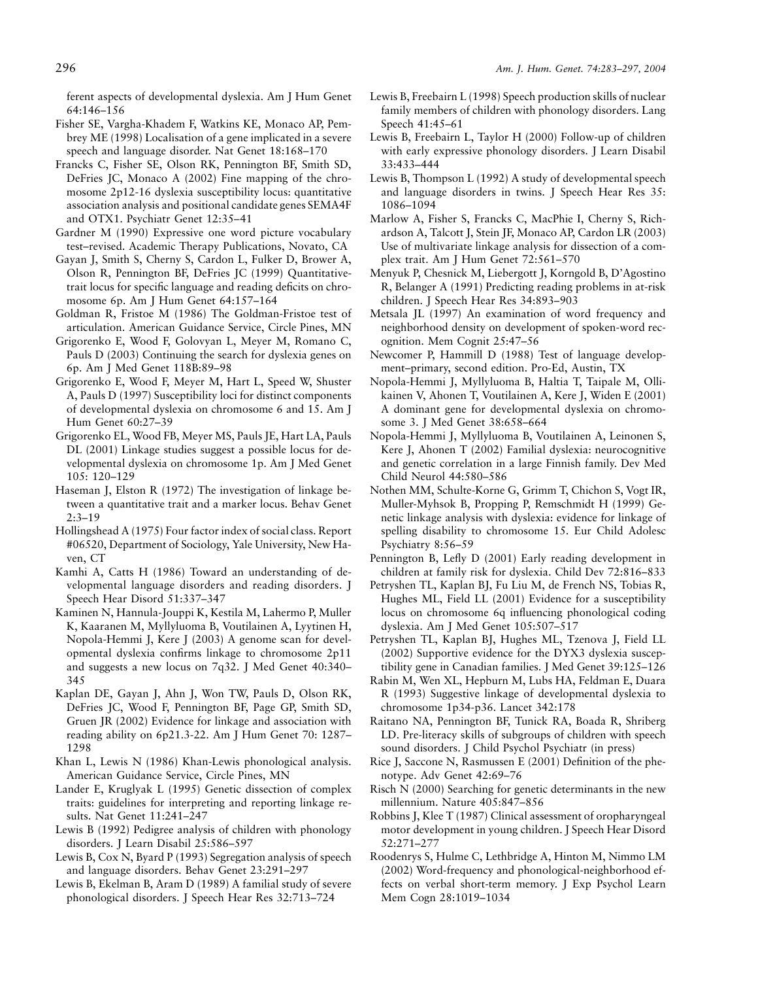ferent aspects of developmental dyslexia. Am J Hum Genet 64:146–156

- Fisher SE, Vargha-Khadem F, Watkins KE, Monaco AP, Pembrey ME (1998) Localisation of a gene implicated in a severe speech and language disorder. Nat Genet 18:168–170
- Francks C, Fisher SE, Olson RK, Pennington BF, Smith SD, DeFries JC, Monaco A (2002) Fine mapping of the chromosome 2p12-16 dyslexia susceptibility locus: quantitative association analysis and positional candidate genes SEMA4F and OTX1. Psychiatr Genet 12:35–41
- Gardner M (1990) Expressive one word picture vocabulary test–revised. Academic Therapy Publications, Novato, CA
- Gayan J, Smith S, Cherny S, Cardon L, Fulker D, Brower A, Olson R, Pennington BF, DeFries JC (1999) Quantitativetrait locus for specific language and reading deficits on chromosome 6p. Am J Hum Genet 64:157–164
- Goldman R, Fristoe M (1986) The Goldman-Fristoe test of articulation. American Guidance Service, Circle Pines, MN
- Grigorenko E, Wood F, Golovyan L, Meyer M, Romano C, Pauls D (2003) Continuing the search for dyslexia genes on 6p. Am J Med Genet 118B:89–98
- Grigorenko E, Wood F, Meyer M, Hart L, Speed W, Shuster A, Pauls D (1997) Susceptibility loci for distinct components of developmental dyslexia on chromosome 6 and 15. Am J Hum Genet 60:27–39
- Grigorenko EL, Wood FB, Meyer MS, Pauls JE, Hart LA, Pauls DL (2001) Linkage studies suggest a possible locus for developmental dyslexia on chromosome 1p. Am J Med Genet 105: 120–129
- Haseman J, Elston R (1972) The investigation of linkage between a quantitative trait and a marker locus. Behav Genet 2:3–19
- Hollingshead A (1975) Four factor index of social class. Report #06520, Department of Sociology, Yale University, New Haven, CT
- Kamhi A, Catts H (1986) Toward an understanding of developmental language disorders and reading disorders. J Speech Hear Disord 51:337–347
- Kaminen N, Hannula-Jouppi K, Kestila M, Lahermo P, Muller K, Kaaranen M, Myllyluoma B, Voutilainen A, Lyytinen H, Nopola-Hemmi J, Kere J (2003) A genome scan for developmental dyslexia confirms linkage to chromosome 2p11 and suggests a new locus on 7q32. J Med Genet 40:340– 345
- Kaplan DE, Gayan J, Ahn J, Won TW, Pauls D, Olson RK, DeFries JC, Wood F, Pennington BF, Page GP, Smith SD, Gruen JR (2002) Evidence for linkage and association with reading ability on 6p21.3-22. Am J Hum Genet 70: 1287– 1298
- Khan L, Lewis N (1986) Khan-Lewis phonological analysis. American Guidance Service, Circle Pines, MN
- Lander E, Kruglyak L (1995) Genetic dissection of complex traits: guidelines for interpreting and reporting linkage results. Nat Genet 11:241–247
- Lewis B (1992) Pedigree analysis of children with phonology disorders. J Learn Disabil 25:586–597
- Lewis B, Cox N, Byard P (1993) Segregation analysis of speech and language disorders. Behav Genet 23:291–297
- Lewis B, Ekelman B, Aram D (1989) A familial study of severe phonological disorders. J Speech Hear Res 32:713–724
- Lewis B, Freebairn L (1998) Speech production skills of nuclear family members of children with phonology disorders. Lang Speech 41:45–61
- Lewis B, Freebairn L, Taylor H (2000) Follow-up of children with early expressive phonology disorders. J Learn Disabil 33:433–444
- Lewis B, Thompson L (1992) A study of developmental speech and language disorders in twins. J Speech Hear Res 35: 1086–1094
- Marlow A, Fisher S, Francks C, MacPhie I, Cherny S, Richardson A, Talcott J, Stein JF, Monaco AP, Cardon LR (2003) Use of multivariate linkage analysis for dissection of a complex trait. Am J Hum Genet 72:561–570
- Menyuk P, Chesnick M, Liebergott J, Korngold B, D'Agostino R, Belanger A (1991) Predicting reading problems in at-risk children. J Speech Hear Res 34:893–903
- Metsala JL (1997) An examination of word frequency and neighborhood density on development of spoken-word recognition. Mem Cognit 25:47–56
- Newcomer P, Hammill D (1988) Test of language development–primary, second edition. Pro-Ed, Austin, TX
- Nopola-Hemmi J, Myllyluoma B, Haltia T, Taipale M, Ollikainen V, Ahonen T, Voutilainen A, Kere J, Widen E (2001) A dominant gene for developmental dyslexia on chromosome 3. J Med Genet 38:658–664
- Nopola-Hemmi J, Myllyluoma B, Voutilainen A, Leinonen S, Kere J, Ahonen T (2002) Familial dyslexia: neurocognitive and genetic correlation in a large Finnish family. Dev Med Child Neurol 44:580–586
- Nothen MM, Schulte-Korne G, Grimm T, Chichon S, Vogt IR, Muller-Myhsok B, Propping P, Remschmidt H (1999) Genetic linkage analysis with dyslexia: evidence for linkage of spelling disability to chromosome 15. Eur Child Adolesc Psychiatry 8:56–59
- Pennington B, Lefly D (2001) Early reading development in children at family risk for dyslexia. Child Dev 72:816–833
- Petryshen TL, Kaplan BJ, Fu Liu M, de French NS, Tobias R, Hughes ML, Field LL (2001) Evidence for a susceptibility locus on chromosome 6q influencing phonological coding dyslexia. Am J Med Genet 105:507–517
- Petryshen TL, Kaplan BJ, Hughes ML, Tzenova J, Field LL (2002) Supportive evidence for the DYX3 dyslexia susceptibility gene in Canadian families. J Med Genet 39:125–126
- Rabin M, Wen XL, Hepburn M, Lubs HA, Feldman E, Duara R (1993) Suggestive linkage of developmental dyslexia to chromosome 1p34-p36. Lancet 342:178
- Raitano NA, Pennington BF, Tunick RA, Boada R, Shriberg LD. Pre-literacy skills of subgroups of children with speech sound disorders. J Child Psychol Psychiatr (in press)
- Rice J, Saccone N, Rasmussen E (2001) Definition of the phenotype. Adv Genet 42:69–76
- Risch N (2000) Searching for genetic determinants in the new millennium. Nature 405:847–856
- Robbins J, Klee T (1987) Clinical assessment of oropharyngeal motor development in young children. J Speech Hear Disord 52:271–277
- Roodenrys S, Hulme C, Lethbridge A, Hinton M, Nimmo LM (2002) Word-frequency and phonological-neighborhood effects on verbal short-term memory. J Exp Psychol Learn Mem Cogn 28:1019–1034